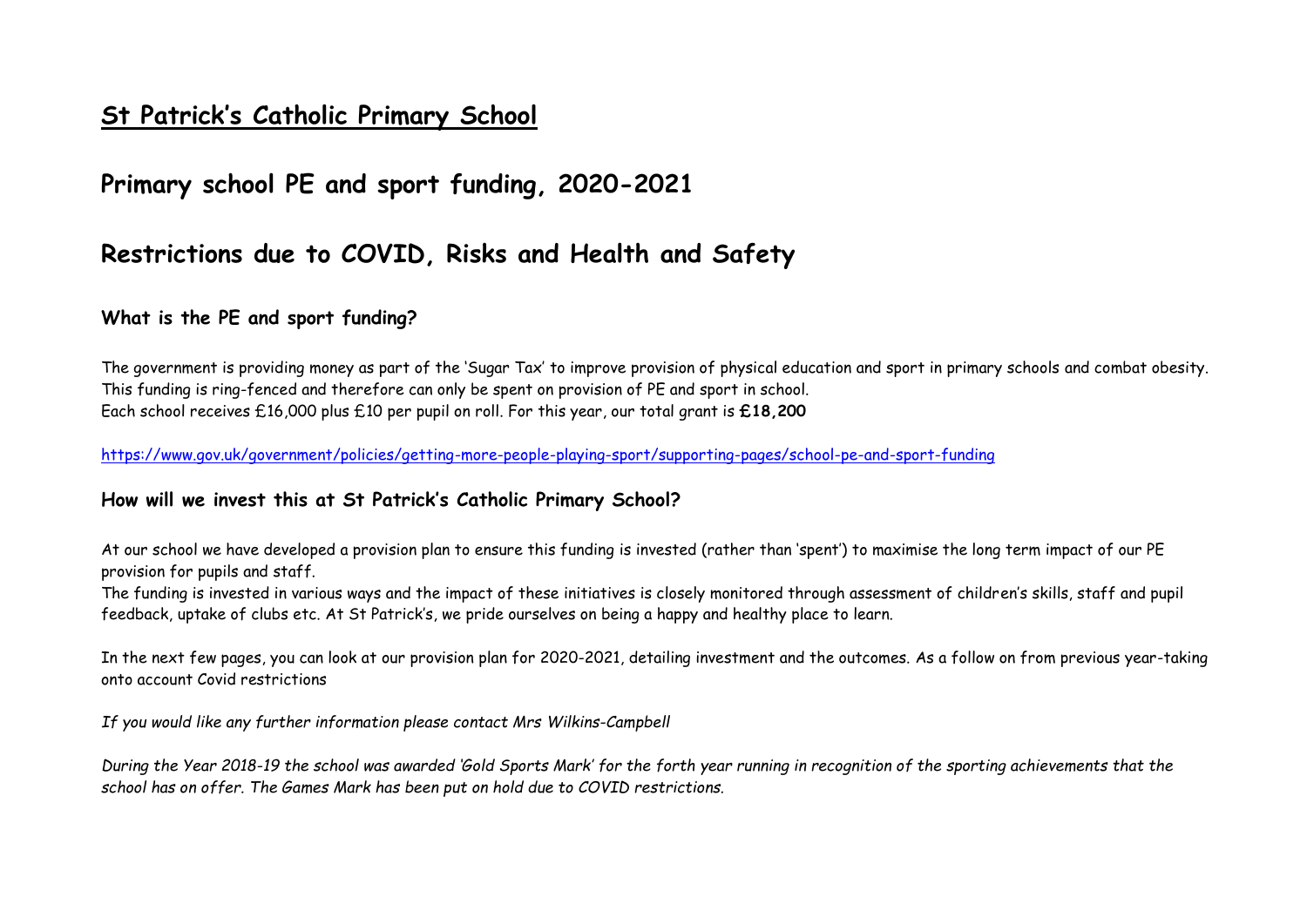### **St Patrick's Catholic Primary School**

## **Primary school PE and sport funding, 2020-2021**

# **Restrictions due to COVID, Risks and Health and Safety**

### **What is the PE and sport funding?**

The government is providing money as part of the 'Sugar Tax' to improve provision of physical education and sport in primary schools and combat obesity. This funding is ring-fenced and therefore can only be spent on provision of PE and sport in school. Each school receives £16,000 plus £10 per pupil on roll. For this year, our total grant is **£18,200**

<https://www.gov.uk/government/policies/getting-more-people-playing-sport/supporting-pages/school-pe-and-sport-funding>

### **How will we invest this at St Patrick's Catholic Primary School?**

At our school we have developed a provision plan to ensure this funding is invested (rather than 'spent') to maximise the long term impact of our PE provision for pupils and staff.

The funding is invested in various ways and the impact of these initiatives is closely monitored through assessment of children's skills, staff and pupil feedback, uptake of clubs etc. At St Patrick's, we pride ourselves on being a happy and healthy place to learn.

In the next few pages, you can look at our provision plan for 2020-2021, detailing investment and the outcomes. As a follow on from previous year-taking onto account Covid restrictions

*If you would like any further information please contact Mrs Wilkins-Campbell*

*During the Year 2018-19 the school was awarded 'Gold Sports Mark' for the forth year running in recognition of the sporting achievements that the school has on offer. The Games Mark has been put on hold due to COVID restrictions.*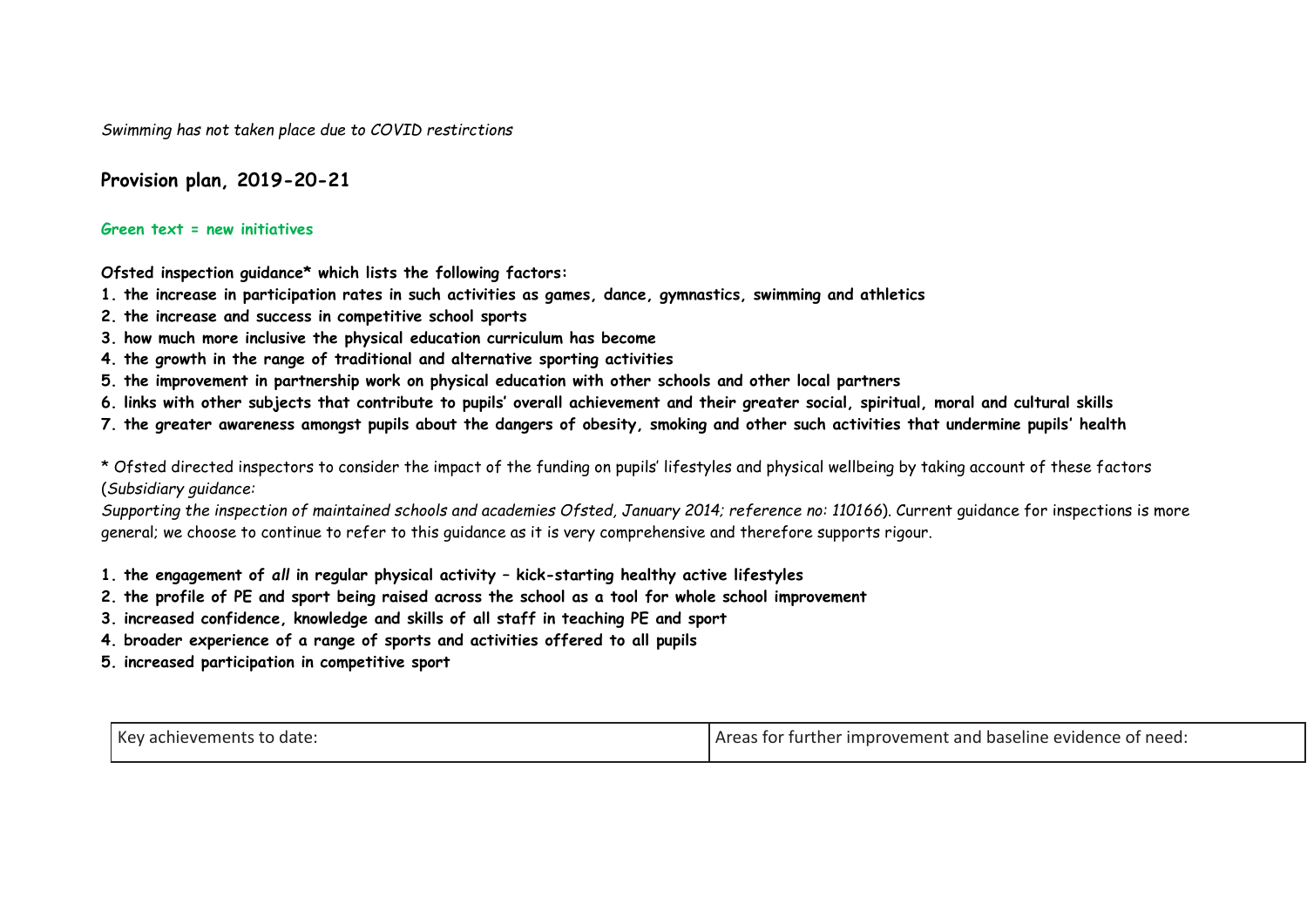*Swimming has not taken place due to COVID restirctions*

**Provision plan, 2019-20-21**

#### **Green text = new initiatives**

**Ofsted inspection guidance\* which lists the following factors:**

- **1. the increase in participation rates in such activities as games, dance, gymnastics, swimming and athletics**
- **2. the increase and success in competitive school sports**
- **3. how much more inclusive the physical education curriculum has become**
- **4. the growth in the range of traditional and alternative sporting activities**
- **5. the improvement in partnership work on physical education with other schools and other local partners**
- **6. links with other subjects that contribute to pupils' overall achievement and their greater social, spiritual, moral and cultural skills**
- **7. the greater awareness amongst pupils about the dangers of obesity, smoking and other such activities that undermine pupils' health**

\* Ofsted directed inspectors to consider the impact of the funding on pupils' lifestyles and physical wellbeing by taking account of these factors (*Subsidiary guidance:*

*Supporting the inspection of maintained schools and academies Ofsted, January 2014; reference no: 110166*). Current guidance for inspections is more general; we choose to continue to refer to this guidance as it is very comprehensive and therefore supports rigour.

- **1. the engagement of** *all* **in regular physical activity – kick-starting healthy active lifestyles**
- **2. the profile of PE and sport being raised across the school as a tool for whole school improvement**
- **3. increased confidence, knowledge and skills of all staff in teaching PE and sport**
- **4. broader experience of a range of sports and activities offered to all pupils**
- **5. increased participation in competitive sport**

| Key achievements to date: | Areas for further improvement and baseline evidence of need: |
|---------------------------|--------------------------------------------------------------|
|---------------------------|--------------------------------------------------------------|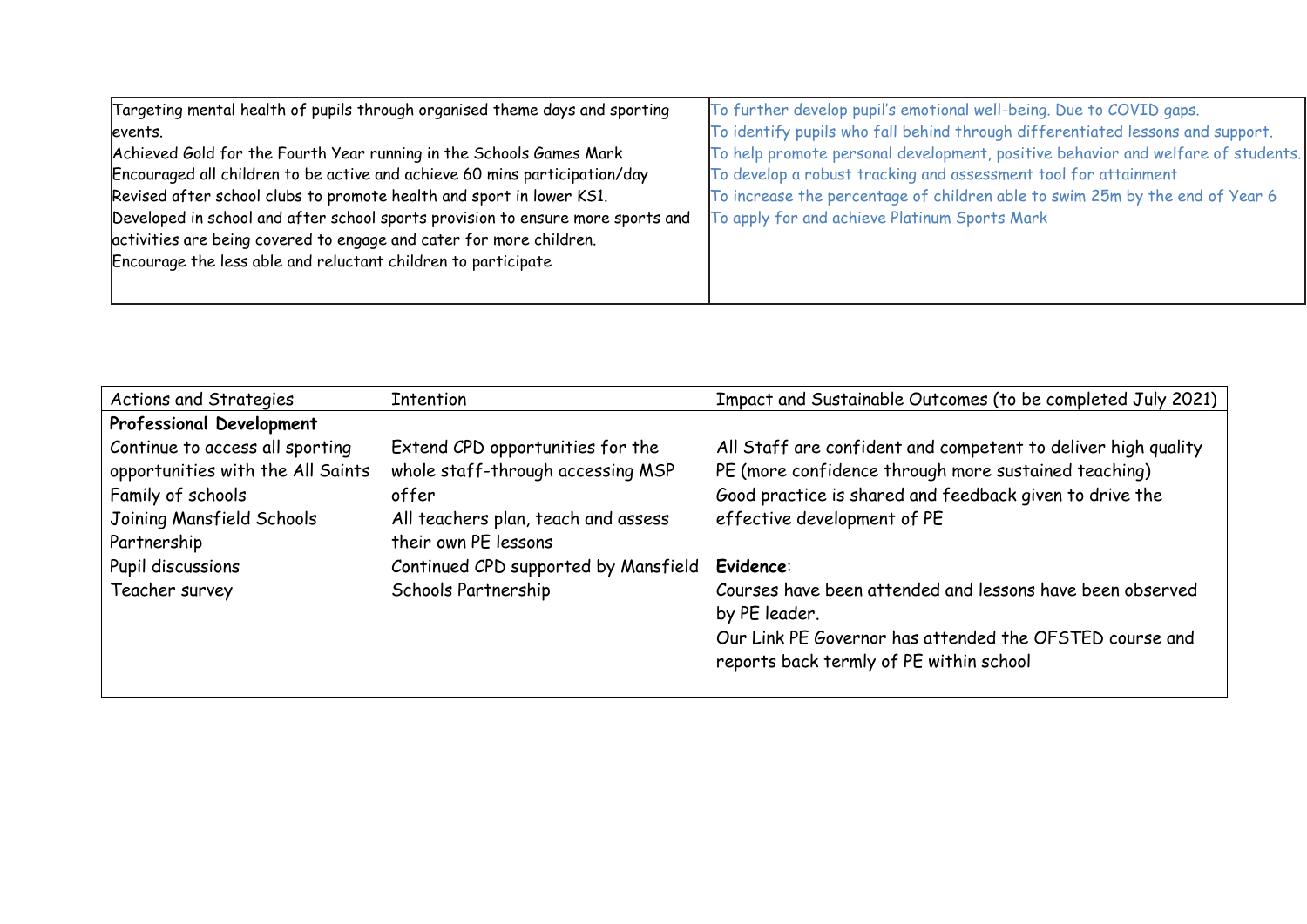| Targeting mental health of pupils through organised theme days and sporting     | To further develop pupil's emotional well-being. Due to COVID gaps.              |
|---------------------------------------------------------------------------------|----------------------------------------------------------------------------------|
| levents.                                                                        | To identify pupils who fall behind through differentiated lessons and support.   |
| Achieved Gold for the Fourth Year running in the Schools Games Mark             | To help promote personal development, positive behavior and welfare of students. |
| Encouraged all children to be active and achieve 60 mins participation/day      | To develop a robust tracking and assessment tool for attainment                  |
| Revised after school clubs to promote health and sport in lower KS1.            | To increase the percentage of children able to swim 25m by the end of Year 6     |
| Developed in school and after school sports provision to ensure more sports and | To apply for and achieve Platinum Sports Mark                                    |
| activities are being covered to engage and cater for more children.             |                                                                                  |
| Encourage the less able and reluctant children to participate                   |                                                                                  |
|                                                                                 |                                                                                  |
|                                                                                 |                                                                                  |

| Actions and Strategies            | Intention                            | Impact and Sustainable Outcomes (to be completed July 2021)   |
|-----------------------------------|--------------------------------------|---------------------------------------------------------------|
| Professional Development          |                                      |                                                               |
| Continue to access all sporting   | Extend CPD opportunities for the     | All Staff are confident and competent to deliver high quality |
| opportunities with the All Saints | whole staff-through accessing MSP    | PE (more confidence through more sustained teaching)          |
| Family of schools                 | offer                                | Good practice is shared and feedback given to drive the       |
| Joining Mansfield Schools         | All teachers plan, teach and assess  | effective development of PE                                   |
| Partnership                       | their own PE lessons                 |                                                               |
| Pupil discussions                 | Continued CPD supported by Mansfield | Evidence:                                                     |
| Teacher survey                    | Schools Partnership                  | Courses have been attended and lessons have been observed     |
|                                   |                                      | by PE leader.                                                 |
|                                   |                                      | Our Link PE Governor has attended the OFSTED course and       |
|                                   |                                      | reports back termly of PE within school                       |
|                                   |                                      |                                                               |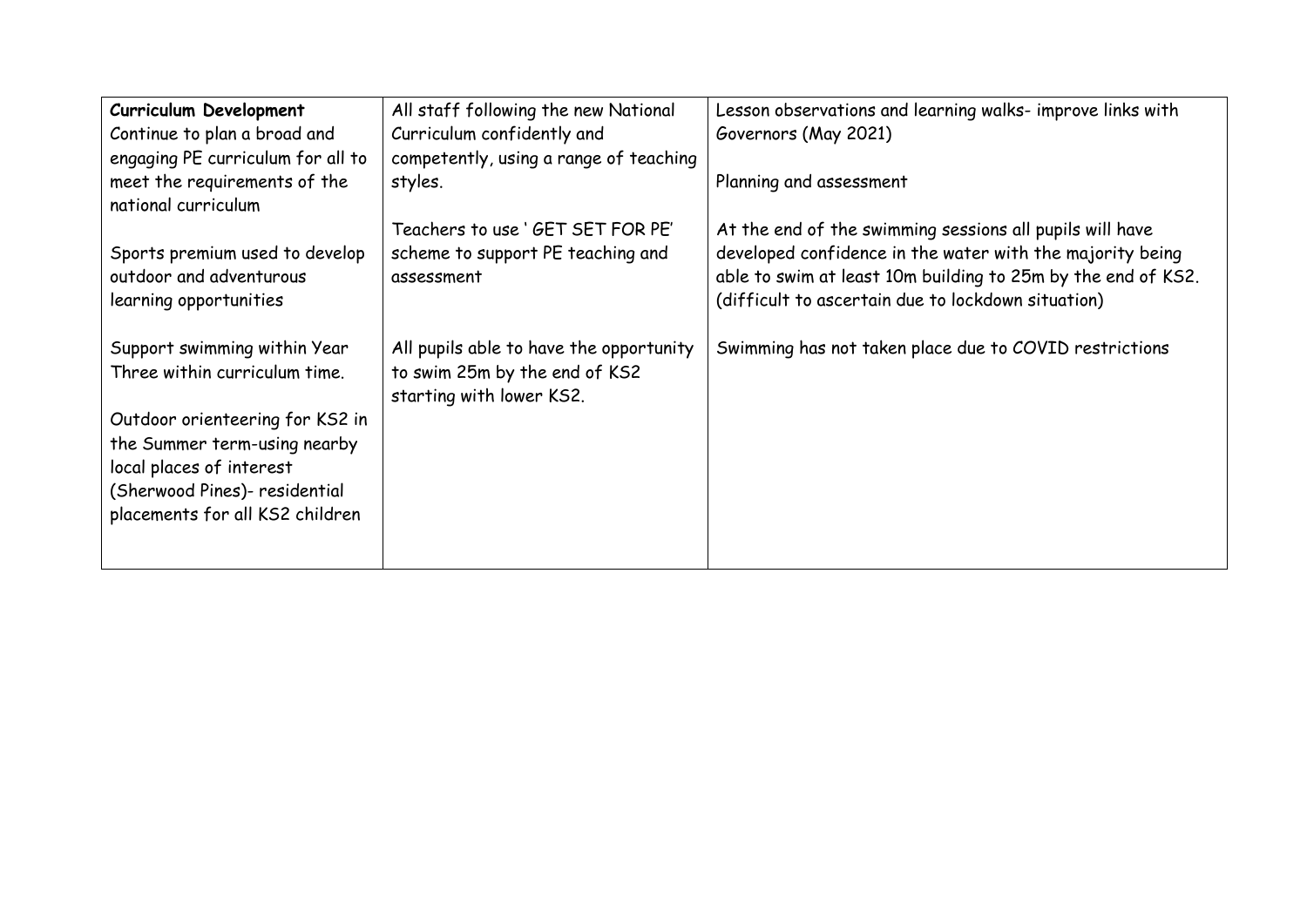| Curriculum Development            | All staff following the new National    | Lesson observations and learning walks- improve links with   |
|-----------------------------------|-----------------------------------------|--------------------------------------------------------------|
| Continue to plan a broad and      | Curriculum confidently and              | Governors (May 2021)                                         |
| engaging PE curriculum for all to | competently, using a range of teaching  |                                                              |
| meet the requirements of the      | styles.                                 | Planning and assessment                                      |
| national curriculum               |                                         |                                                              |
|                                   | Teachers to use 'GET SET FOR PE'        | At the end of the swimming sessions all pupils will have     |
| Sports premium used to develop    | scheme to support PE teaching and       | developed confidence in the water with the majority being    |
| outdoor and adventurous           | assessment                              | able to swim at least 10m building to 25m by the end of KS2. |
| learning opportunities            |                                         | (difficult to ascertain due to lockdown situation)           |
|                                   |                                         |                                                              |
| Support swimming within Year      | All pupils able to have the opportunity | Swimming has not taken place due to COVID restrictions       |
| Three within curriculum time.     | to swim 25m by the end of KS2           |                                                              |
|                                   | starting with lower KS2.                |                                                              |
| Outdoor orienteering for KS2 in   |                                         |                                                              |
| the Summer term-using nearby      |                                         |                                                              |
| local places of interest          |                                         |                                                              |
| (Sherwood Pines)- residential     |                                         |                                                              |
| placements for all KS2 children   |                                         |                                                              |
|                                   |                                         |                                                              |
|                                   |                                         |                                                              |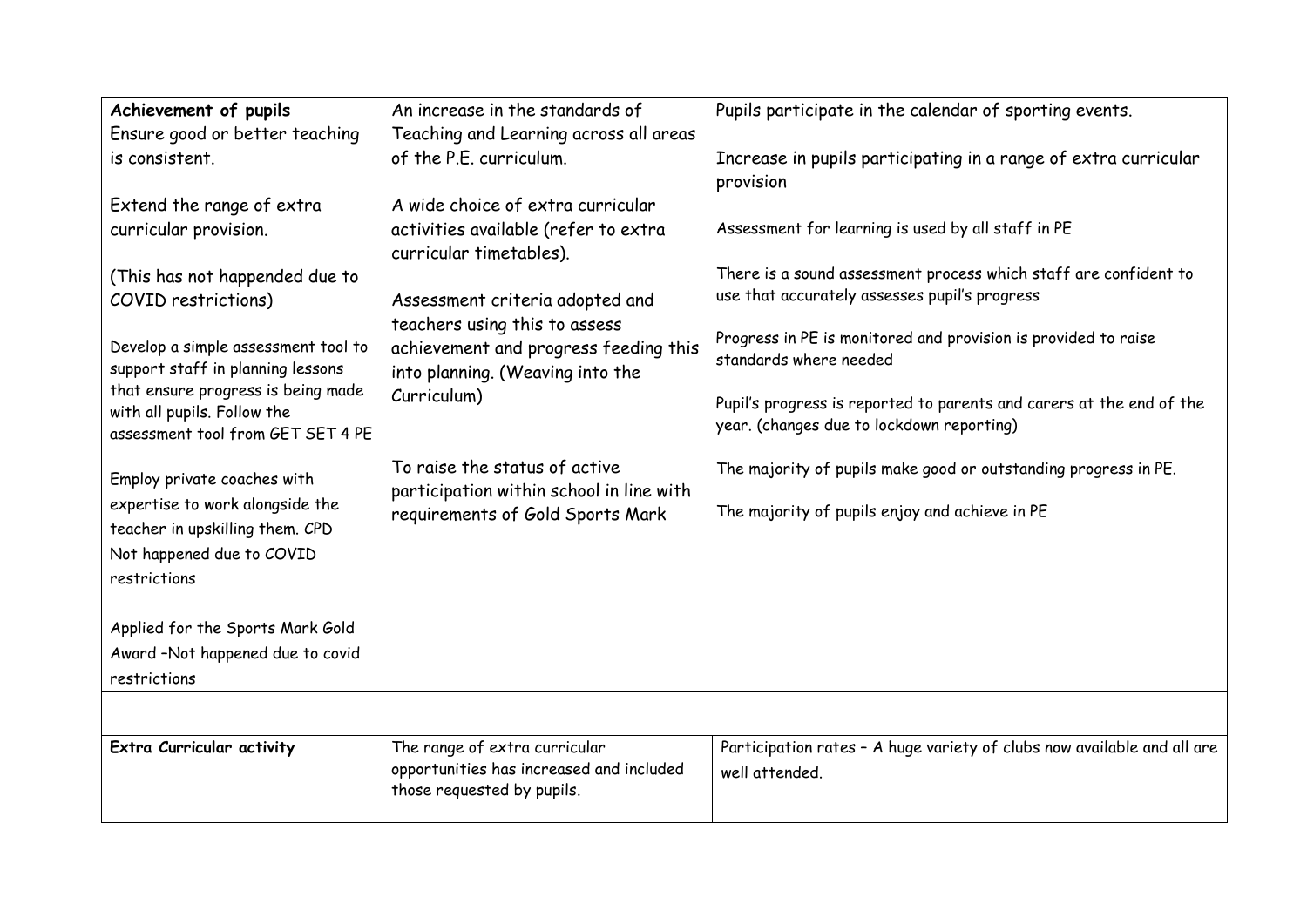| Achievement of pupils                                                                                                                         | An increase in the standards of                                                                                           | Pupils participate in the calendar of sporting events.                                                                                                           |
|-----------------------------------------------------------------------------------------------------------------------------------------------|---------------------------------------------------------------------------------------------------------------------------|------------------------------------------------------------------------------------------------------------------------------------------------------------------|
| Ensure good or better teaching                                                                                                                | Teaching and Learning across all areas                                                                                    |                                                                                                                                                                  |
| is consistent.                                                                                                                                | of the P.E. curriculum.                                                                                                   | Increase in pupils participating in a range of extra curricular<br>provision                                                                                     |
| Extend the range of extra                                                                                                                     | A wide choice of extra curricular                                                                                         |                                                                                                                                                                  |
| curricular provision.                                                                                                                         | activities available (refer to extra<br>curricular timetables).                                                           | Assessment for learning is used by all staff in PE                                                                                                               |
| (This has not happended due to                                                                                                                |                                                                                                                           | There is a sound assessment process which staff are confident to                                                                                                 |
| COVID restrictions)                                                                                                                           | Assessment criteria adopted and                                                                                           | use that accurately assesses pupil's progress                                                                                                                    |
| Develop a simple assessment tool to<br>support staff in planning lessons<br>that ensure progress is being made<br>with all pupils. Follow the | teachers using this to assess<br>achievement and progress feeding this<br>into planning. (Weaving into the<br>Curriculum) | Progress in PE is monitored and provision is provided to raise<br>standards where needed<br>Pupil's progress is reported to parents and carers at the end of the |
| assessment tool from GET SET 4 PE                                                                                                             |                                                                                                                           | year. (changes due to lockdown reporting)                                                                                                                        |
| Employ private coaches with                                                                                                                   | To raise the status of active<br>participation within school in line with                                                 | The majority of pupils make good or outstanding progress in PE.                                                                                                  |
| expertise to work alongside the<br>teacher in upskilling them. CPD<br>Not happened due to COVID<br>restrictions                               | requirements of Gold Sports Mark                                                                                          | The majority of pupils enjoy and achieve in PE                                                                                                                   |
| Applied for the Sports Mark Gold                                                                                                              |                                                                                                                           |                                                                                                                                                                  |
| Award -Not happened due to covid                                                                                                              |                                                                                                                           |                                                                                                                                                                  |
| restrictions                                                                                                                                  |                                                                                                                           |                                                                                                                                                                  |
|                                                                                                                                               |                                                                                                                           |                                                                                                                                                                  |
| Extra Curricular activity                                                                                                                     | The range of extra curricular                                                                                             | Participation rates - A huge variety of clubs now available and all are                                                                                          |
|                                                                                                                                               | opportunities has increased and included<br>those requested by pupils.                                                    | well attended.                                                                                                                                                   |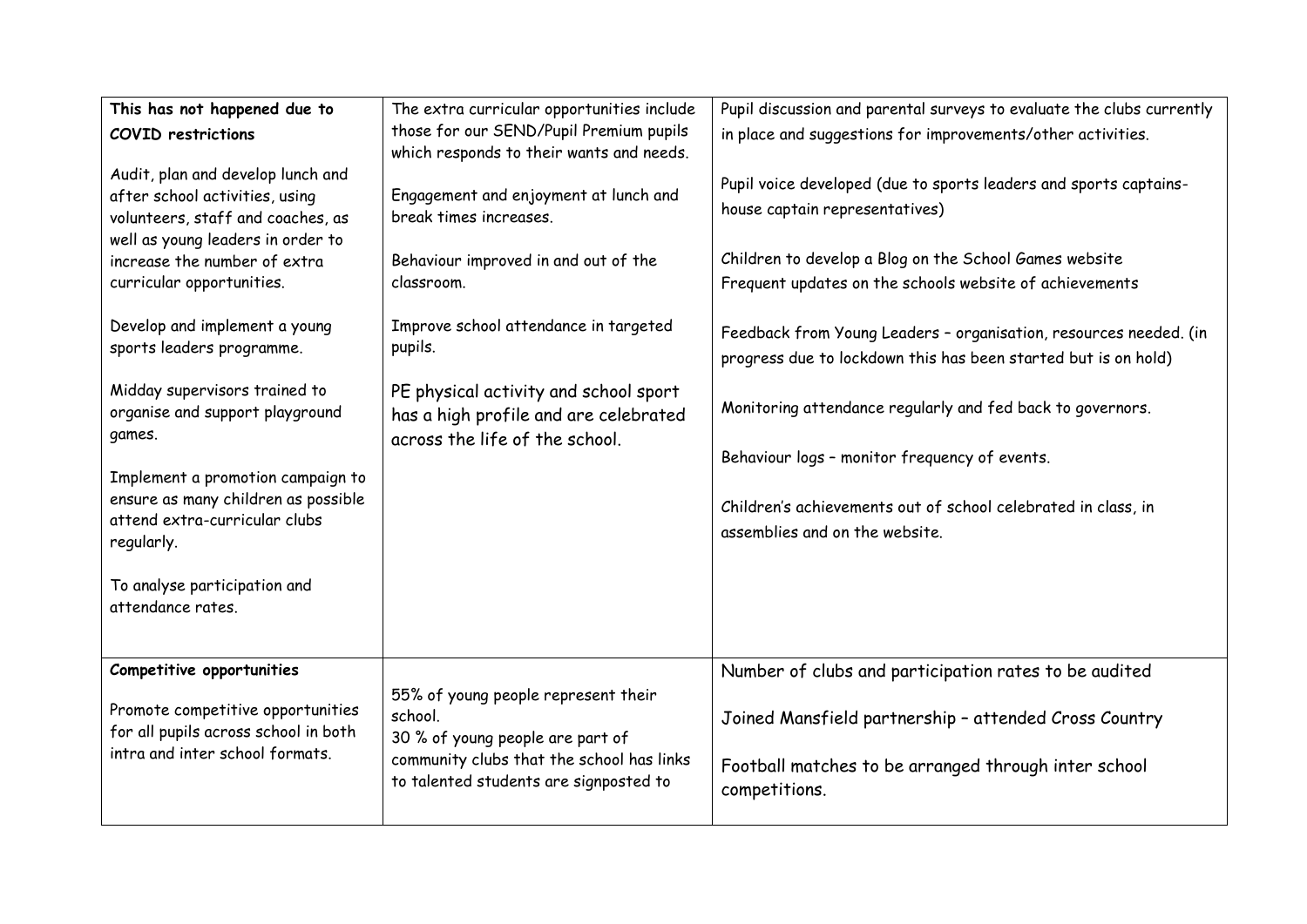| This has not happened due to<br><b>COVID</b> restrictions<br>Audit, plan and develop lunch and<br>after school activities, using<br>volunteers, staff and coaches, as<br>well as young leaders in order to<br>increase the number of extra                                                                                                            | The extra curricular opportunities include<br>those for our SEND/Pupil Premium pupils<br>which responds to their wants and needs.<br>Engagement and enjoyment at lunch and<br>break times increases.<br>Behaviour improved in and out of the<br>classroom. | Pupil discussion and parental surveys to evaluate the clubs currently<br>in place and suggestions for improvements/other activities.<br>Pupil voice developed (due to sports leaders and sports captains-<br>house captain representatives)<br>Children to develop a Blog on the School Games website                                                                                                            |
|-------------------------------------------------------------------------------------------------------------------------------------------------------------------------------------------------------------------------------------------------------------------------------------------------------------------------------------------------------|------------------------------------------------------------------------------------------------------------------------------------------------------------------------------------------------------------------------------------------------------------|------------------------------------------------------------------------------------------------------------------------------------------------------------------------------------------------------------------------------------------------------------------------------------------------------------------------------------------------------------------------------------------------------------------|
| curricular opportunities.<br>Develop and implement a young<br>sports leaders programme.<br>Midday supervisors trained to<br>organise and support playground<br>games.<br>Implement a promotion campaign to<br>ensure as many children as possible<br>attend extra-curricular clubs<br>regularly.<br>To analyse participation and<br>attendance rates. | Improve school attendance in targeted<br>pupils.<br>PE physical activity and school sport<br>has a high profile and are celebrated<br>across the life of the school.                                                                                       | Frequent updates on the schools website of achievements<br>Feedback from Young Leaders - organisation, resources needed. (in<br>progress due to lockdown this has been started but is on hold)<br>Monitoring attendance regularly and fed back to governors.<br>Behaviour logs - monitor frequency of events.<br>Children's achievements out of school celebrated in class, in<br>assemblies and on the website. |
| Competitive opportunities<br>Promote competitive opportunities<br>for all pupils across school in both<br>intra and inter school formats.                                                                                                                                                                                                             | 55% of young people represent their<br>school.<br>30 % of young people are part of<br>community clubs that the school has links<br>to talented students are signposted to                                                                                  | Number of clubs and participation rates to be audited<br>Joined Mansfield partnership - attended Cross Country<br>Football matches to be arranged through inter school<br>competitions.                                                                                                                                                                                                                          |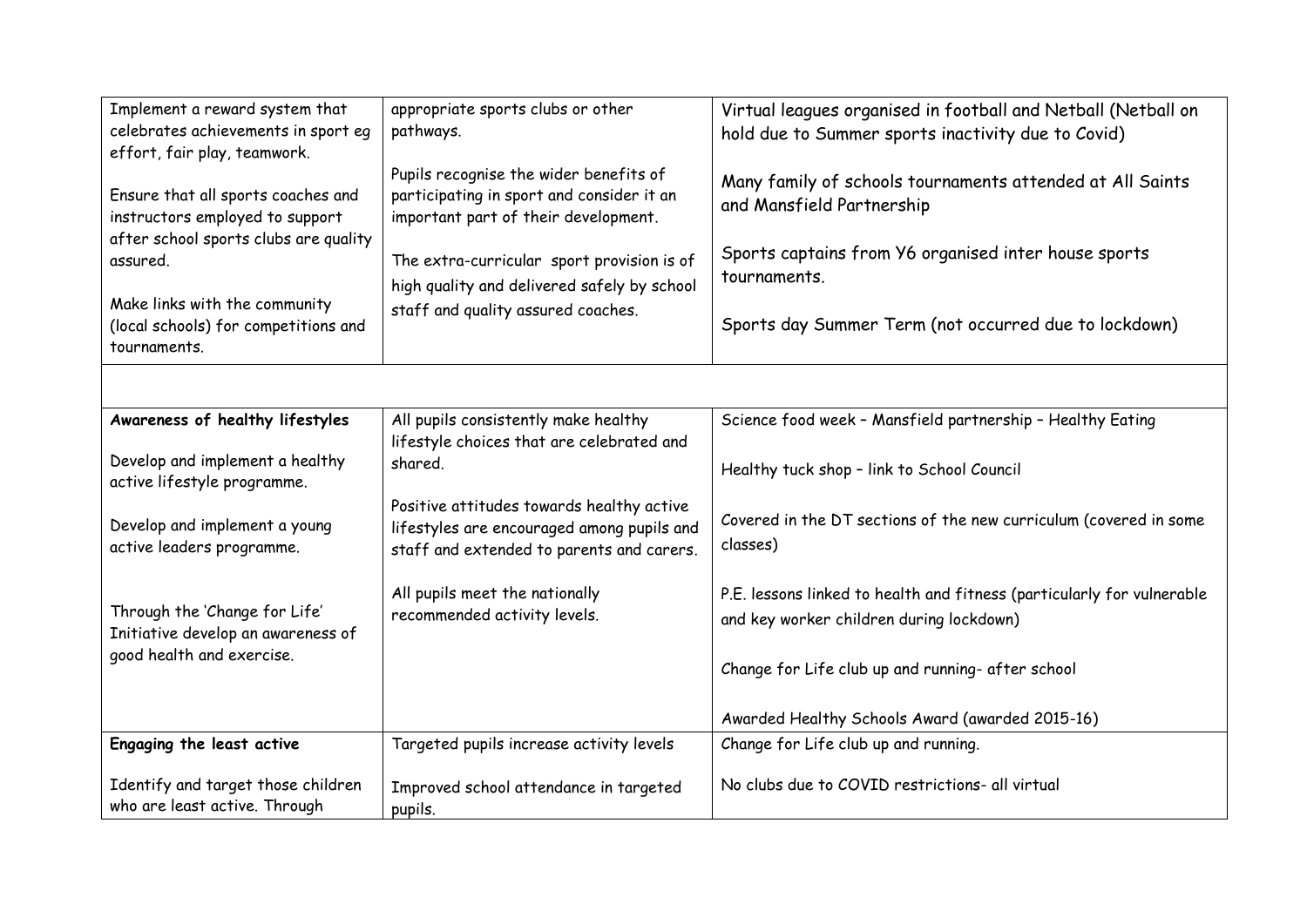| Implement a reward system that<br>celebrates achievements in sport eg                 | appropriate sports clubs or other<br>pathways.                                                                                       | Virtual leagues organised in football and Netball (Netball on<br>hold due to Summer sports inactivity due to Covid) |
|---------------------------------------------------------------------------------------|--------------------------------------------------------------------------------------------------------------------------------------|---------------------------------------------------------------------------------------------------------------------|
| effort, fair play, teamwork.                                                          |                                                                                                                                      |                                                                                                                     |
| Ensure that all sports coaches and<br>instructors employed to support                 | Pupils recognise the wider benefits of<br>participating in sport and consider it an<br>important part of their development.          | Many family of schools tournaments attended at All Saints<br>and Mansfield Partnership                              |
| after school sports clubs are quality<br>assured.                                     | The extra-curricular sport provision is of<br>high quality and delivered safely by school                                            | Sports captains from Y6 organised inter house sports<br>tournaments.                                                |
| Make links with the community<br>(local schools) for competitions and<br>tournaments. | staff and quality assured coaches.                                                                                                   | Sports day Summer Term (not occurred due to lockdown)                                                               |
|                                                                                       |                                                                                                                                      |                                                                                                                     |
| Awareness of healthy lifestyles                                                       | All pupils consistently make healthy<br>lifestyle choices that are celebrated and                                                    | Science food week - Mansfield partnership - Healthy Eating                                                          |
| Develop and implement a healthy<br>active lifestyle programme.                        | shared.                                                                                                                              | Healthy tuck shop - link to School Council                                                                          |
| Develop and implement a young<br>active leaders programme.                            | Positive attitudes towards healthy active<br>lifestyles are encouraged among pupils and<br>staff and extended to parents and carers. | Covered in the DT sections of the new curriculum (covered in some<br>classes)                                       |
| Through the 'Change for Life'<br>Initiative develop an awareness of                   | All pupils meet the nationally<br>recommended activity levels.                                                                       | P.E. lessons linked to health and fitness (particularly for vulnerable<br>and key worker children during lockdown)  |
| good health and exercise.                                                             |                                                                                                                                      | Change for Life club up and running- after school                                                                   |
|                                                                                       |                                                                                                                                      | Awarded Healthy Schools Award (awarded 2015-16)                                                                     |
| Engaging the least active                                                             | Targeted pupils increase activity levels                                                                                             | Change for Life club up and running.                                                                                |
| Identify and target those children<br>who are least active. Through                   | Improved school attendance in targeted<br>pupils.                                                                                    | No clubs due to COVID restrictions- all virtual                                                                     |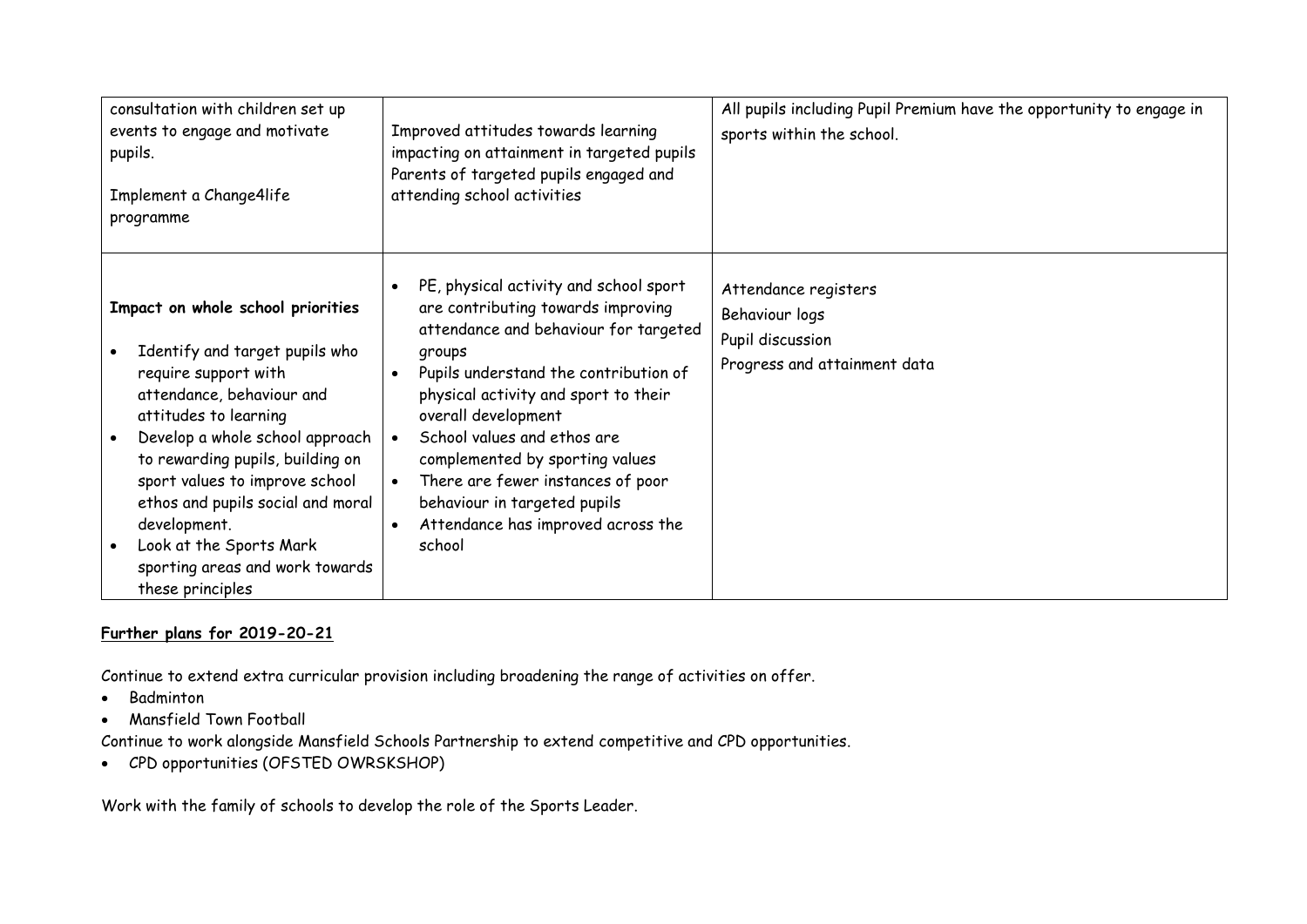| consultation with children set up<br>events to engage and motivate<br>pupils.<br>Implement a Change4life<br>programme                                                                                                                                                                                                                                                                             | Improved attitudes towards learning<br>impacting on attainment in targeted pupils<br>Parents of targeted pupils engaged and<br>attending school activities                                                                                                                                                                                                                                                                                                            | All pupils including Pupil Premium have the opportunity to engage in<br>sports within the school. |
|---------------------------------------------------------------------------------------------------------------------------------------------------------------------------------------------------------------------------------------------------------------------------------------------------------------------------------------------------------------------------------------------------|-----------------------------------------------------------------------------------------------------------------------------------------------------------------------------------------------------------------------------------------------------------------------------------------------------------------------------------------------------------------------------------------------------------------------------------------------------------------------|---------------------------------------------------------------------------------------------------|
| Impact on whole school priorities<br>Identify and target pupils who<br>require support with<br>attendance, behaviour and<br>attitudes to learning<br>Develop a whole school approach<br>to rewarding pupils, building on<br>sport values to improve school<br>ethos and pupils social and moral<br>development.<br>Look at the Sports Mark<br>sporting areas and work towards<br>these principles | PE, physical activity and school sport<br>$\bullet$<br>are contributing towards improving<br>attendance and behaviour for targeted<br>groups<br>Pupils understand the contribution of<br>$\bullet$<br>physical activity and sport to their<br>overall development<br>School values and ethos are<br>complemented by sporting values<br>There are fewer instances of poor<br>behaviour in targeted pupils<br>Attendance has improved across the<br>$\bullet$<br>school | Attendance registers<br>Behaviour logs<br>Pupil discussion<br>Progress and attainment data        |

#### **Further plans for 2019-20-21**

Continue to extend extra curricular provision including broadening the range of activities on offer.

- Badminton
- Mansfield Town Football

Continue to work alongside Mansfield Schools Partnership to extend competitive and CPD opportunities.

CPD opportunities (OFSTED OWRSKSHOP)

Work with the family of schools to develop the role of the Sports Leader.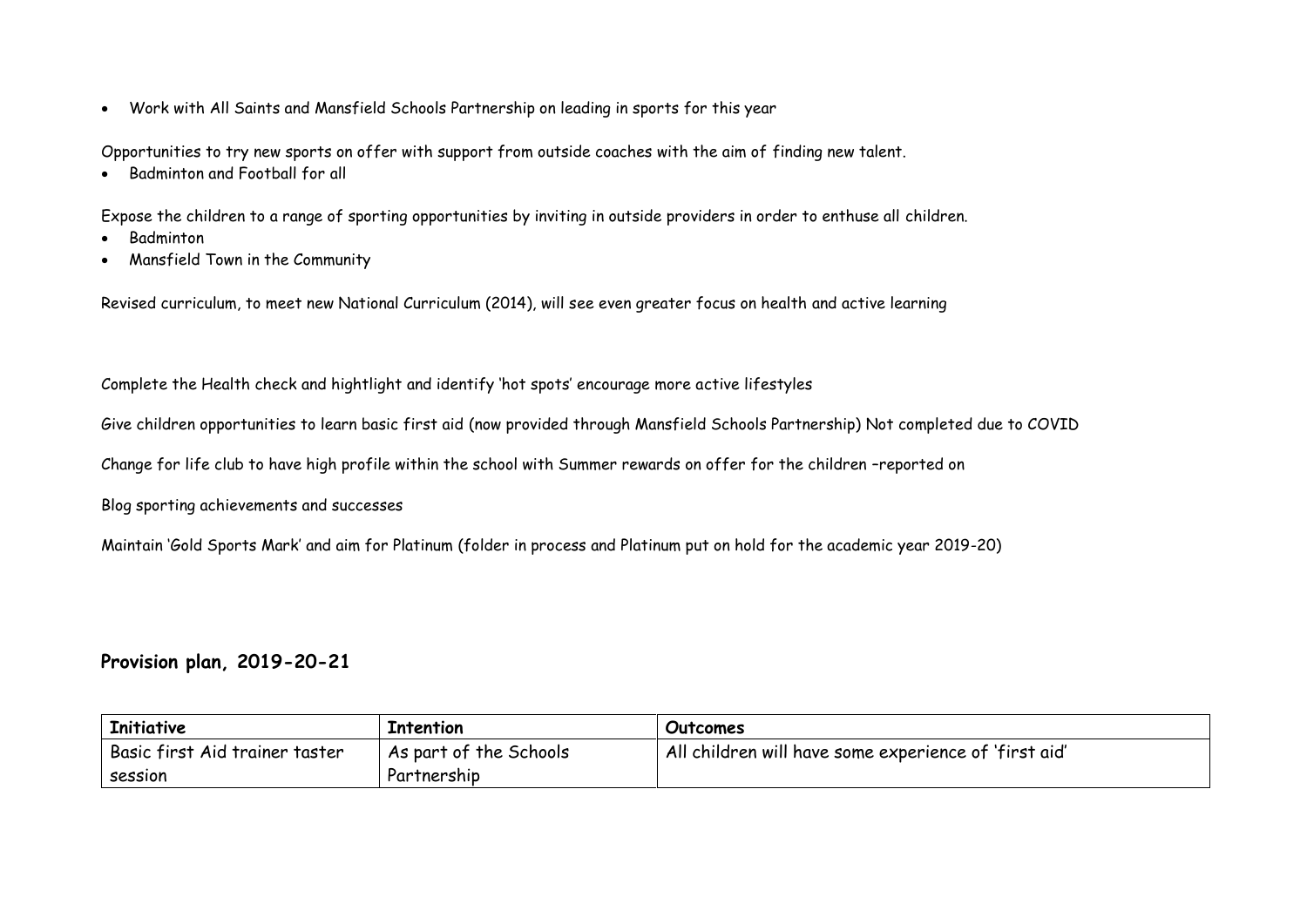Work with All Saints and Mansfield Schools Partnership on leading in sports for this year

Opportunities to try new sports on offer with support from outside coaches with the aim of finding new talent.

Badminton and Football for all

Expose the children to a range of sporting opportunities by inviting in outside providers in order to enthuse all children.

- Badminton
- Mansfield Town in the Community

Revised curriculum, to meet new National Curriculum (2014), will see even greater focus on health and active learning

Complete the Health check and hightlight and identify 'hot spots' encourage more active lifestyles

Give children opportunities to learn basic first aid (now provided through Mansfield Schools Partnership) Not completed due to COVID

Change for life club to have high profile within the school with Summer rewards on offer for the children –reported on

Blog sporting achievements and successes

Maintain 'Gold Sports Mark' and aim for Platinum (folder in process and Platinum put on hold for the academic year 2019-20)

**Provision plan, 2019-20-21**

| <b>Initiative</b>              | Intention              | Outcomes                                              |
|--------------------------------|------------------------|-------------------------------------------------------|
| Basic first Aid trainer taster | As part of the Schools | All children will have some experience of 'first aid' |
| session                        | Partnership            |                                                       |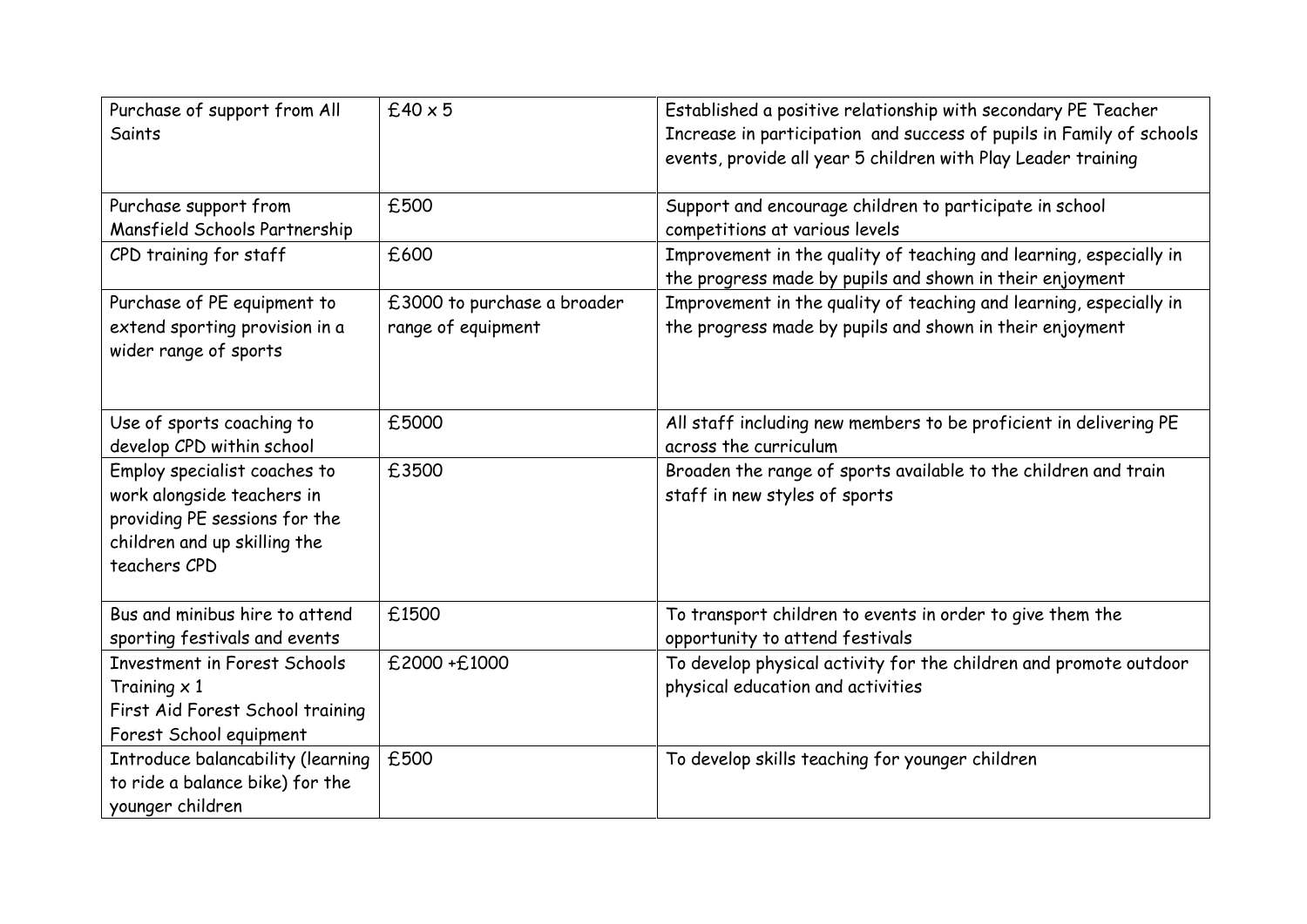| Purchase of support from All<br><b>Saints</b>                                                                                               | $£40 \times 5$                                    | Established a positive relationship with secondary PE Teacher<br>Increase in participation and success of pupils in Family of schools<br>events, provide all year 5 children with Play Leader training |
|---------------------------------------------------------------------------------------------------------------------------------------------|---------------------------------------------------|--------------------------------------------------------------------------------------------------------------------------------------------------------------------------------------------------------|
| Purchase support from<br>Mansfield Schools Partnership                                                                                      | £500                                              | Support and encourage children to participate in school<br>competitions at various levels                                                                                                              |
| CPD training for staff                                                                                                                      | £600                                              | Improvement in the quality of teaching and learning, especially in<br>the progress made by pupils and shown in their enjoyment                                                                         |
| Purchase of PE equipment to<br>extend sporting provision in a<br>wider range of sports                                                      | £3000 to purchase a broader<br>range of equipment | Improvement in the quality of teaching and learning, especially in<br>the progress made by pupils and shown in their enjoyment                                                                         |
| Use of sports coaching to<br>develop CPD within school                                                                                      | £5000                                             | All staff including new members to be proficient in delivering PE<br>across the curriculum                                                                                                             |
| Employ specialist coaches to<br>work alongside teachers in<br>providing PE sessions for the<br>children and up skilling the<br>teachers CPD | £3500                                             | Broaden the range of sports available to the children and train<br>staff in new styles of sports                                                                                                       |
| Bus and minibus hire to attend<br>sporting festivals and events                                                                             | £1500                                             | To transport children to events in order to give them the<br>opportunity to attend festivals                                                                                                           |
| <b>Investment in Forest Schools</b><br>Training $\times$ 1<br>First Aid Forest School training<br>Forest School equipment                   | £2000+£1000                                       | To develop physical activity for the children and promote outdoor<br>physical education and activities                                                                                                 |
| Introduce balancability (learning<br>to ride a balance bike) for the<br>younger children                                                    | £500                                              | To develop skills teaching for younger children                                                                                                                                                        |